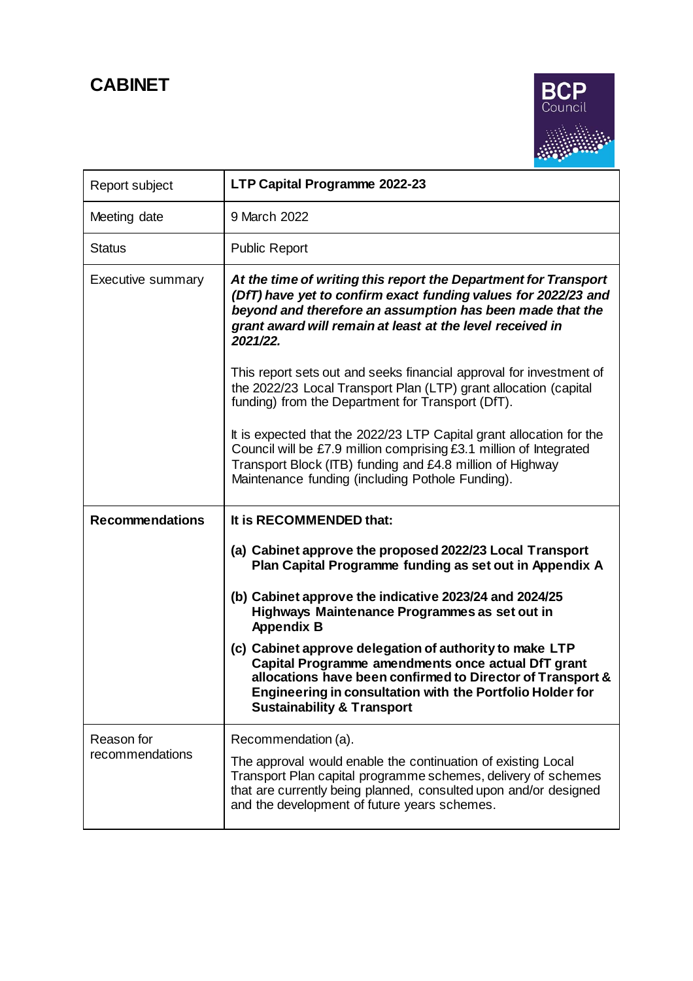# **CABINET**



| Report subject                | LTP Capital Programme 2022-23                                                                                                                                                                                                                                                     |
|-------------------------------|-----------------------------------------------------------------------------------------------------------------------------------------------------------------------------------------------------------------------------------------------------------------------------------|
| Meeting date                  | 9 March 2022                                                                                                                                                                                                                                                                      |
| Status                        | <b>Public Report</b>                                                                                                                                                                                                                                                              |
| <b>Executive summary</b>      | At the time of writing this report the Department for Transport<br>(DfT) have yet to confirm exact funding values for 2022/23 and<br>beyond and therefore an assumption has been made that the<br>grant award will remain at least at the level received in<br>2021/22.           |
|                               | This report sets out and seeks financial approval for investment of<br>the 2022/23 Local Transport Plan (LTP) grant allocation (capital<br>funding) from the Department for Transport (DfT).                                                                                      |
|                               | It is expected that the 2022/23 LTP Capital grant allocation for the<br>Council will be £7.9 million comprising £3.1 million of Integrated<br>Transport Block (ITB) funding and £4.8 million of Highway<br>Maintenance funding (including Pothole Funding).                       |
| <b>Recommendations</b>        | It is RECOMMENDED that:                                                                                                                                                                                                                                                           |
|                               | (a) Cabinet approve the proposed 2022/23 Local Transport<br>Plan Capital Programme funding as set out in Appendix A                                                                                                                                                               |
|                               | (b) Cabinet approve the indicative 2023/24 and 2024/25<br>Highways Maintenance Programmes as set out in<br><b>Appendix B</b>                                                                                                                                                      |
|                               | (c) Cabinet approve delegation of authority to make LTP<br>Capital Programme amendments once actual DfT grant<br>allocations have been confirmed to Director of Transport &<br>Engineering in consultation with the Portfolio Holder for<br><b>Sustainability &amp; Transport</b> |
| Reason for<br>recommendations | Recommendation (a).                                                                                                                                                                                                                                                               |
|                               | The approval would enable the continuation of existing Local<br>Transport Plan capital programme schemes, delivery of schemes<br>that are currently being planned, consulted upon and/or designed                                                                                 |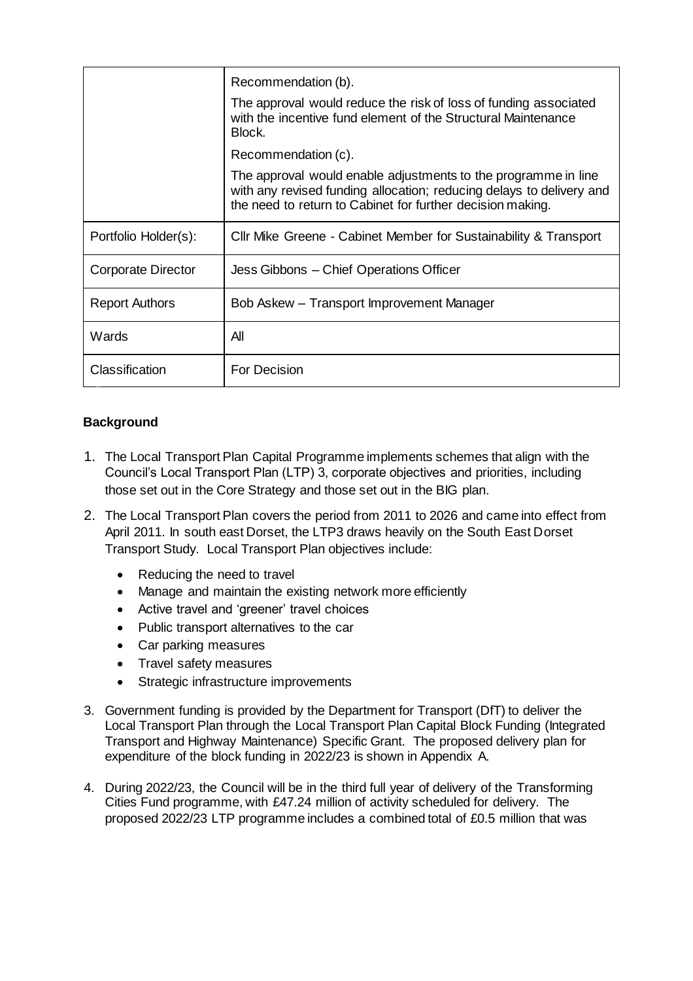|                       | Recommendation (b).                                                                                                                                                                                  |
|-----------------------|------------------------------------------------------------------------------------------------------------------------------------------------------------------------------------------------------|
|                       | The approval would reduce the risk of loss of funding associated<br>with the incentive fund element of the Structural Maintenance<br>Block.                                                          |
|                       | Recommendation (c).                                                                                                                                                                                  |
|                       | The approval would enable adjustments to the programme in line<br>with any revised funding allocation; reducing delays to delivery and<br>the need to return to Cabinet for further decision making. |
| Portfolio Holder(s):  | Cllr Mike Greene - Cabinet Member for Sustainability & Transport                                                                                                                                     |
| Corporate Director    | Jess Gibbons – Chief Operations Officer                                                                                                                                                              |
| <b>Report Authors</b> | Bob Askew – Transport Improvement Manager                                                                                                                                                            |
| Wards                 | All                                                                                                                                                                                                  |
| Classification        | <b>For Decision</b>                                                                                                                                                                                  |

## **Background**

- 1. The Local Transport Plan Capital Programme implements schemes that align with the Council's Local Transport Plan (LTP) 3, corporate objectives and priorities, including those set out in the Core Strategy and those set out in the BIG plan.
- 2. The Local Transport Plan covers the period from 2011 to 2026 and came into effect from April 2011. In south east Dorset, the LTP3 draws heavily on the South East Dorset Transport Study. Local Transport Plan objectives include:
	- Reducing the need to travel
	- Manage and maintain the existing network more efficiently
	- Active travel and 'greener' travel choices
	- Public transport alternatives to the car
	- Car parking measures
	- Travel safety measures
	- Strategic infrastructure improvements
- 3. Government funding is provided by the Department for Transport (DfT) to deliver the Local Transport Plan through the Local Transport Plan Capital Block Funding (Integrated Transport and Highway Maintenance) Specific Grant. The proposed delivery plan for expenditure of the block funding in 2022/23 is shown in Appendix A.
- 4. During 2022/23, the Council will be in the third full year of delivery of the Transforming Cities Fund programme, with £47.24 million of activity scheduled for delivery. The proposed 2022/23 LTP programme includes a combined total of £0.5 million that was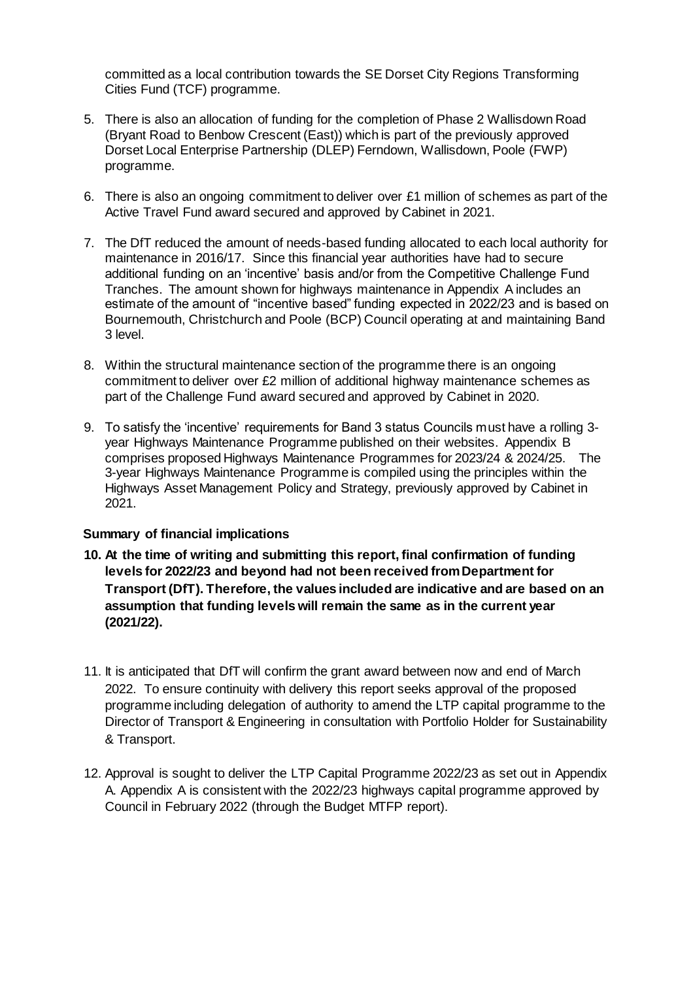committed as a local contribution towards the SE Dorset City Regions Transforming Cities Fund (TCF) programme.

- 5. There is also an allocation of funding for the completion of Phase 2 Wallisdown Road (Bryant Road to Benbow Crescent (East)) which is part of the previously approved Dorset Local Enterprise Partnership (DLEP) Ferndown, Wallisdown, Poole (FWP) programme.
- 6. There is also an ongoing commitment to deliver over £1 million of schemes as part of the Active Travel Fund award secured and approved by Cabinet in 2021.
- 7. The DfT reduced the amount of needs-based funding allocated to each local authority for maintenance in 2016/17. Since this financial year authorities have had to secure additional funding on an 'incentive' basis and/or from the Competitive Challenge Fund Tranches. The amount shown for highways maintenance in Appendix A includes an estimate of the amount of "incentive based" funding expected in 2022/23 and is based on Bournemouth, Christchurch and Poole (BCP) Council operating at and maintaining Band 3 level.
- 8. Within the structural maintenance section of the programme there is an ongoing commitment to deliver over £2 million of additional highway maintenance schemes as part of the Challenge Fund award secured and approved by Cabinet in 2020.
- 9. To satisfy the 'incentive' requirements for Band 3 status Councils must have a rolling 3 year Highways Maintenance Programme published on their websites. Appendix B comprises proposed Highways Maintenance Programmes for 2023/24 & 2024/25. The 3-year Highways Maintenance Programme is compiled using the principles within the Highways Asset Management Policy and Strategy, previously approved by Cabinet in 2021.

#### **Summary of financial implications**

- **10. At the time of writing and submitting this report, final confirmation of funding levels for 2022/23 and beyond had not been received from Department for Transport (DfT). Therefore, the values included are indicative and are based on an assumption that funding levels will remain the same as in the current year (2021/22).**
- 11. It is anticipated that DfT will confirm the grant award between now and end of March 2022. To ensure continuity with delivery this report seeks approval of the proposed programme including delegation of authority to amend the LTP capital programme to the Director of Transport & Engineering in consultation with Portfolio Holder for Sustainability & Transport.
- 12. Approval is sought to deliver the LTP Capital Programme 2022/23 as set out in Appendix A. Appendix A is consistent with the 2022/23 highways capital programme approved by Council in February 2022 (through the Budget MTFP report).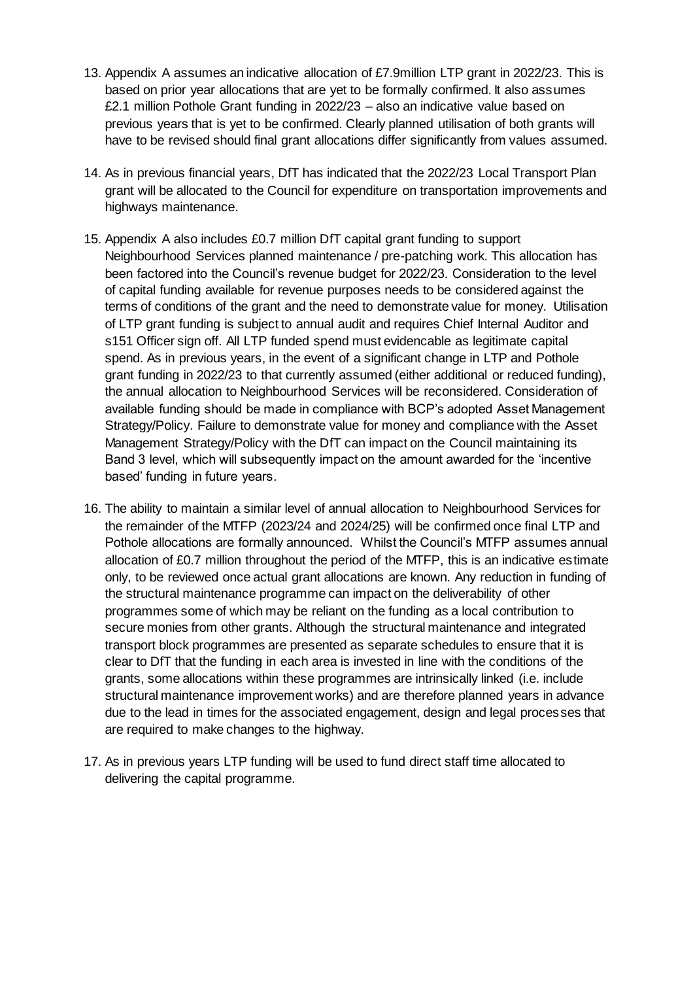- 13. Appendix A assumes an indicative allocation of £7.9million LTP grant in 2022/23. This is based on prior year allocations that are yet to be formally confirmed. It also assumes £2.1 million Pothole Grant funding in 2022/23 – also an indicative value based on previous years that is yet to be confirmed. Clearly planned utilisation of both grants will have to be revised should final grant allocations differ significantly from values assumed.
- 14. As in previous financial years, DfT has indicated that the 2022/23 Local Transport Plan grant will be allocated to the Council for expenditure on transportation improvements and highways maintenance.
- 15. Appendix A also includes £0.7 million DfT capital grant funding to support Neighbourhood Services planned maintenance / pre-patching work. This allocation has been factored into the Council's revenue budget for 2022/23. Consideration to the level of capital funding available for revenue purposes needs to be considered against the terms of conditions of the grant and the need to demonstrate value for money. Utilisation of LTP grant funding is subject to annual audit and requires Chief Internal Auditor and s151 Officer sign off. All LTP funded spend must evidencable as legitimate capital spend. As in previous years, in the event of a significant change in LTP and Pothole grant funding in 2022/23 to that currently assumed (either additional or reduced funding), the annual allocation to Neighbourhood Services will be reconsidered. Consideration of available funding should be made in compliance with BCP's adopted Asset Management Strategy/Policy. Failure to demonstrate value for money and compliance with the Asset Management Strategy/Policy with the DfT can impact on the Council maintaining its Band 3 level, which will subsequently impact on the amount awarded for the 'incentive based' funding in future years.
- 16. The ability to maintain a similar level of annual allocation to Neighbourhood Services for the remainder of the MTFP (2023/24 and 2024/25) will be confirmed once final LTP and Pothole allocations are formally announced. Whilst the Council's MTFP assumes annual allocation of £0.7 million throughout the period of the MTFP, this is an indicative estimate only, to be reviewed once actual grant allocations are known. Any reduction in funding of the structural maintenance programme can impact on the deliverability of other programmes some of which may be reliant on the funding as a local contribution to secure monies from other grants. Although the structural maintenance and integrated transport block programmes are presented as separate schedules to ensure that it is clear to DfT that the funding in each area is invested in line with the conditions of the grants, some allocations within these programmes are intrinsically linked (i.e. include structural maintenance improvement works) and are therefore planned years in advance due to the lead in times for the associated engagement, design and legal processes that are required to make changes to the highway.
- 17. As in previous years LTP funding will be used to fund direct staff time allocated to delivering the capital programme.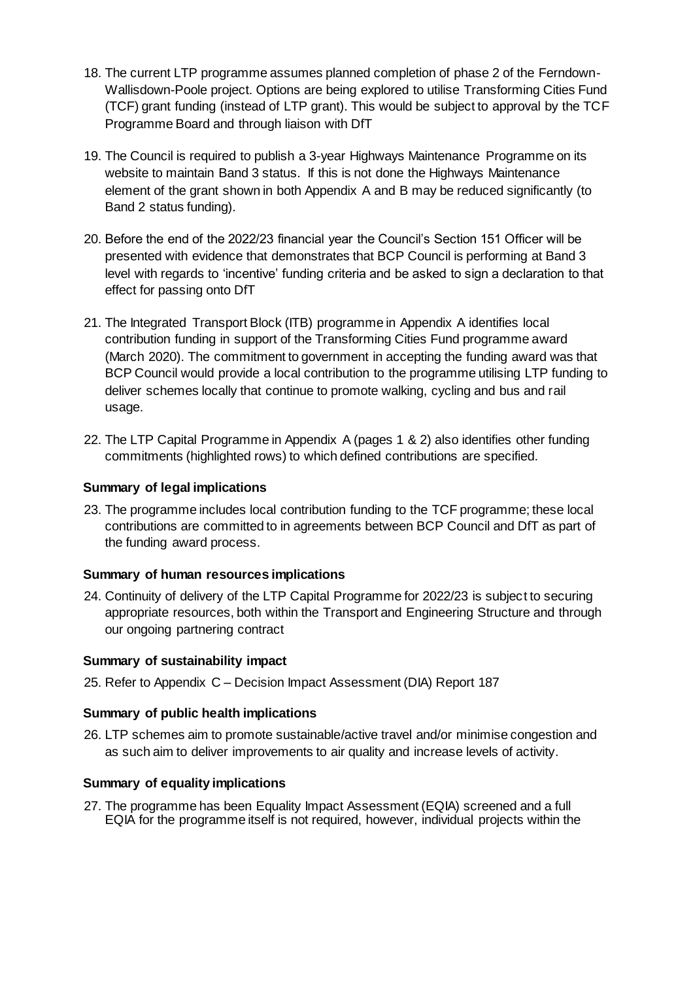- 18. The current LTP programme assumes planned completion of phase 2 of the Ferndown-Wallisdown-Poole project. Options are being explored to utilise Transforming Cities Fund (TCF) grant funding (instead of LTP grant). This would be subject to approval by the TCF Programme Board and through liaison with DfT
- 19. The Council is required to publish a 3-year Highways Maintenance Programme on its website to maintain Band 3 status. If this is not done the Highways Maintenance element of the grant shown in both Appendix A and B may be reduced significantly (to Band 2 status funding).
- 20. Before the end of the 2022/23 financial year the Council's Section 151 Officer will be presented with evidence that demonstrates that BCP Council is performing at Band 3 level with regards to 'incentive' funding criteria and be asked to sign a declaration to that effect for passing onto DfT
- 21. The Integrated Transport Block (ITB) programme in Appendix A identifies local contribution funding in support of the Transforming Cities Fund programme award (March 2020). The commitment to government in accepting the funding award was that BCP Council would provide a local contribution to the programme utilising LTP funding to deliver schemes locally that continue to promote walking, cycling and bus and rail usage.
- 22. The LTP Capital Programme in Appendix A (pages 1 & 2) also identifies other funding commitments (highlighted rows) to which defined contributions are specified.

### **Summary of legal implications**

23. The programme includes local contribution funding to the TCF programme; these local contributions are committed to in agreements between BCP Council and DfT as part of the funding award process.

#### **Summary of human resources implications**

24. Continuity of delivery of the LTP Capital Programme for 2022/23 is subject to securing appropriate resources, both within the Transport and Engineering Structure and through our ongoing partnering contract

#### **Summary of sustainability impact**

25. Refer to Appendix C – Decision Impact Assessment (DIA) Report 187

## **Summary of public health implications**

26. LTP schemes aim to promote sustainable/active travel and/or minimise congestion and as such aim to deliver improvements to air quality and increase levels of activity.

## **Summary of equality implications**

27. The programme has been Equality Impact Assessment (EQIA) screened and a full EQIA for the programme itself is not required, however, individual projects within the